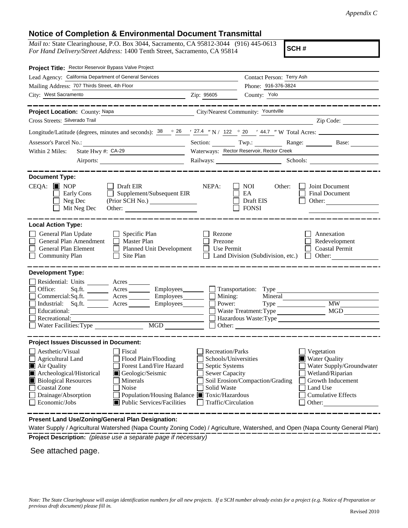## **Notice of Completion & Environmental Document Transmittal**

*Mail to:* State Clearinghouse, P.O. Box 3044, Sacramento, CA 95812-3044 (916) 445-0613 *For Hand Delivery/Street Address:* 1400 Tenth Street, Sacramento, CA 95814

**SCH #**

| Project Title: Rector Reservoir Bypass Valve Project                                                                                                                                                                                                                                                                                                               |                                                                                                                           |                                                                                                                                                                                        |  |
|--------------------------------------------------------------------------------------------------------------------------------------------------------------------------------------------------------------------------------------------------------------------------------------------------------------------------------------------------------------------|---------------------------------------------------------------------------------------------------------------------------|----------------------------------------------------------------------------------------------------------------------------------------------------------------------------------------|--|
| Lead Agency: California Department of General Services                                                                                                                                                                                                                                                                                                             |                                                                                                                           | Contact Person: Terry Ash                                                                                                                                                              |  |
| Mailing Address: 707 Thirds Street, 4th Floor                                                                                                                                                                                                                                                                                                                      |                                                                                                                           | Phone: 916-376-3824                                                                                                                                                                    |  |
| City: West Sacramento                                                                                                                                                                                                                                                                                                                                              | Zip: 95605                                                                                                                | County: Yolo                                                                                                                                                                           |  |
|                                                                                                                                                                                                                                                                                                                                                                    |                                                                                                                           |                                                                                                                                                                                        |  |
| Project Location: County: Napa<br>City/Nearest Community: Yountville                                                                                                                                                                                                                                                                                               |                                                                                                                           |                                                                                                                                                                                        |  |
| Cross Streets: Silverado Trail                                                                                                                                                                                                                                                                                                                                     |                                                                                                                           | Zip Code:                                                                                                                                                                              |  |
| Longitude/Latitude (degrees, minutes and seconds): $\frac{38}{26}$ $\frac{26}{27.4}$ $\frac{1}{27.4}$ N / 122 $\degree$ 20 $\degree$ 44.7 "W Total Acres:                                                                                                                                                                                                          |                                                                                                                           |                                                                                                                                                                                        |  |
|                                                                                                                                                                                                                                                                                                                                                                    |                                                                                                                           | Section: Twp.: Twp.: Range: Base: Base:                                                                                                                                                |  |
| State Hwy #: CA-29<br>Within 2 Miles:                                                                                                                                                                                                                                                                                                                              | Waterways: Rector Reservoir, Rector Creek                                                                                 |                                                                                                                                                                                        |  |
|                                                                                                                                                                                                                                                                                                                                                                    |                                                                                                                           | Railways: Schools: Schools: Schools: 2008.                                                                                                                                             |  |
|                                                                                                                                                                                                                                                                                                                                                                    |                                                                                                                           |                                                                                                                                                                                        |  |
| <b>Document Type:</b><br>$CEQA: \blacksquare$ NOP<br>$\Box$ Draft EIR<br>$\Box$ Supplement/Subsequent EIR<br>Early Cons<br>$\Box$ Neg Dec<br>Mit Neg Dec                                                                                                                                                                                                           | NEPA:                                                                                                                     | Joint Document<br>NOI<br>Other:<br>EA<br><b>Final Document</b><br>Draft EIS<br>Other:<br><b>FONSI</b>                                                                                  |  |
| <b>Local Action Type:</b>                                                                                                                                                                                                                                                                                                                                          |                                                                                                                           |                                                                                                                                                                                        |  |
| General Plan Update<br>$\Box$ Specific Plan<br>General Plan Amendment<br>Master Plan<br>$\Box$<br>General Plan Element<br>$\Box$<br><b>Planned Unit Development</b><br><b>Community Plan</b><br>Site Plan<br>$\perp$                                                                                                                                               | Rezone<br>Prezone<br>Use Permit                                                                                           | Annexation<br>Redevelopment<br><b>Coastal Permit</b><br>Land Division (Subdivision, etc.)<br>Other:<br>$\perp$                                                                         |  |
| <b>Development Type:</b><br>Residential: Units Acres<br>Acres Employees Transportation: Type<br>Office:<br>Sq.ft.<br>Commercial:Sq.ft. ________ Acres __________ Employees _________ $\Box$<br>Industrial: Sq.ft. _______ Acres _______ Employees ______ $\square$<br>Educational:<br>Recreational:<br>Water Facilities: Type                                      | Mining:<br>Power:                                                                                                         | Mineral<br><b>MW</b><br>Type<br>MGD<br>Waste Treatment: Type<br>Hazardous Waste:Type                                                                                                   |  |
| <b>Project Issues Discussed in Document:</b>                                                                                                                                                                                                                                                                                                                       |                                                                                                                           |                                                                                                                                                                                        |  |
| Aesthetic/Visual<br>Fiscal<br>Agricultural Land<br>Flood Plain/Flooding<br>Forest Land/Fire Hazard<br>Air Quality<br>Archeological/Historical<br>Geologic/Seismic<br><b>Biological Resources</b><br>Minerals<br><b>Coastal Zone</b><br>Noise<br>Drainage/Absorption<br>Population/Housing Balance ■ Toxic/Hazardous<br>Economic/Jobs<br>Public Services/Facilities | <b>Recreation/Parks</b><br>Schools/Universities<br>Septic Systems<br>Sewer Capacity<br>Solid Waste<br>Traffic/Circulation | Vegetation<br>Water Quality<br>Water Supply/Groundwater<br>Wetland/Riparian<br>Soil Erosion/Compaction/Grading<br>Growth Inducement<br>Land Use<br><b>Cumulative Effects</b><br>Other: |  |

**Present Land Use/Zoning/General Plan Designation:**

**Project Description:** *(please use a separate page if necessary)* Water Supply / Agricultural Watershed (Napa County Zoning Code) / Agriculture, Watershed, and Open (Napa County General Plan)

See attached page.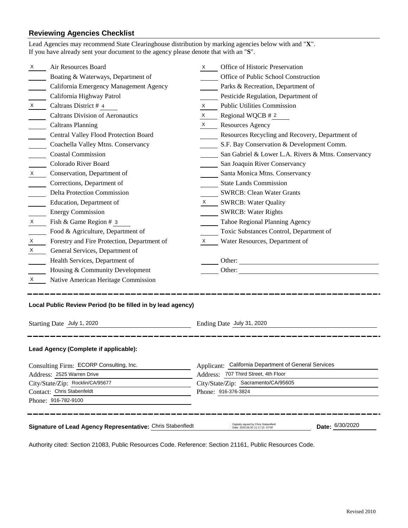## **Reviewing Agencies Checklist**

| Lead Agencies may recommend State Clearinghouse distribution by marking agencies below with and "X".<br>If you have already sent your document to the agency please denote that with an "S". |                                                            |                                                                                                                                                                                                                                |                                                                                               |  |  |
|----------------------------------------------------------------------------------------------------------------------------------------------------------------------------------------------|------------------------------------------------------------|--------------------------------------------------------------------------------------------------------------------------------------------------------------------------------------------------------------------------------|-----------------------------------------------------------------------------------------------|--|--|
| X                                                                                                                                                                                            | Air Resources Board                                        | X.                                                                                                                                                                                                                             | Office of Historic Preservation                                                               |  |  |
|                                                                                                                                                                                              | Boating & Waterways, Department of                         |                                                                                                                                                                                                                                | Office of Public School Construction                                                          |  |  |
|                                                                                                                                                                                              | California Emergency Management Agency                     |                                                                                                                                                                                                                                | Parks & Recreation, Department of                                                             |  |  |
|                                                                                                                                                                                              | California Highway Patrol                                  |                                                                                                                                                                                                                                | Pesticide Regulation, Department of                                                           |  |  |
| X                                                                                                                                                                                            | Caltrans District # 4                                      | X                                                                                                                                                                                                                              | <b>Public Utilities Commission</b>                                                            |  |  |
|                                                                                                                                                                                              | <b>Caltrans Division of Aeronautics</b>                    | X                                                                                                                                                                                                                              | Regional WQCB # 2                                                                             |  |  |
|                                                                                                                                                                                              | <b>Caltrans Planning</b>                                   | $\boldsymbol{X}$                                                                                                                                                                                                               | <b>Resources Agency</b>                                                                       |  |  |
|                                                                                                                                                                                              | Central Valley Flood Protection Board                      |                                                                                                                                                                                                                                | Resources Recycling and Recovery, Department of                                               |  |  |
|                                                                                                                                                                                              | Coachella Valley Mtns. Conservancy                         |                                                                                                                                                                                                                                | S.F. Bay Conservation & Development Comm.                                                     |  |  |
|                                                                                                                                                                                              | <b>Coastal Commission</b>                                  |                                                                                                                                                                                                                                | San Gabriel & Lower L.A. Rivers & Mtns. Conservancy                                           |  |  |
|                                                                                                                                                                                              | Colorado River Board                                       |                                                                                                                                                                                                                                | San Joaquin River Conservancy                                                                 |  |  |
| $\mathsf{X}$                                                                                                                                                                                 | Conservation, Department of                                |                                                                                                                                                                                                                                | Santa Monica Mtns. Conservancy                                                                |  |  |
|                                                                                                                                                                                              | Corrections, Department of                                 |                                                                                                                                                                                                                                | <b>State Lands Commission</b>                                                                 |  |  |
|                                                                                                                                                                                              | <b>Delta Protection Commission</b>                         |                                                                                                                                                                                                                                | <b>SWRCB: Clean Water Grants</b>                                                              |  |  |
|                                                                                                                                                                                              | Education, Department of                                   | X and the set of the set of the set of the set of the set of the set of the set of the set of the set of the set of the set of the set of the set of the set of the set of the set of the set of the set of the set of the set | <b>SWRCB: Water Quality</b>                                                                   |  |  |
|                                                                                                                                                                                              | <b>Energy Commission</b>                                   |                                                                                                                                                                                                                                | <b>SWRCB: Water Rights</b>                                                                    |  |  |
| X                                                                                                                                                                                            | Fish & Game Region # 3                                     |                                                                                                                                                                                                                                | Tahoe Regional Planning Agency                                                                |  |  |
|                                                                                                                                                                                              | Food & Agriculture, Department of                          |                                                                                                                                                                                                                                | Toxic Substances Control, Department of                                                       |  |  |
| X                                                                                                                                                                                            | Forestry and Fire Protection, Department of                | X                                                                                                                                                                                                                              | Water Resources, Department of                                                                |  |  |
| X                                                                                                                                                                                            | General Services, Department of                            |                                                                                                                                                                                                                                |                                                                                               |  |  |
|                                                                                                                                                                                              | Health Services, Department of                             |                                                                                                                                                                                                                                | Other:                                                                                        |  |  |
|                                                                                                                                                                                              | Housing & Community Development                            |                                                                                                                                                                                                                                | Other:                                                                                        |  |  |
| X                                                                                                                                                                                            | Native American Heritage Commission                        |                                                                                                                                                                                                                                |                                                                                               |  |  |
| Local Public Review Period (to be filled in by lead agency)<br>Starting Date July 1, 2020<br>Ending Date July 31, 2020                                                                       |                                                            |                                                                                                                                                                                                                                |                                                                                               |  |  |
| Lead Agency (Complete if applicable):                                                                                                                                                        |                                                            |                                                                                                                                                                                                                                |                                                                                               |  |  |
| Consulting Firm: ECORP Consulting, Inc.                                                                                                                                                      |                                                            |                                                                                                                                                                                                                                | Applicant: California Department of General Services                                          |  |  |
| Address: 2525 Warren Drive                                                                                                                                                                   |                                                            |                                                                                                                                                                                                                                | Address: 707 Third Street, 4th Floor                                                          |  |  |
| City/State/Zip: Rocklin/CA/95677                                                                                                                                                             |                                                            |                                                                                                                                                                                                                                | City/State/Zip: Sacramento/CA/95605                                                           |  |  |
|                                                                                                                                                                                              | Contact: Chris Stabenfeldt<br>Phone: 916-782-9100          |                                                                                                                                                                                                                                | Phone: 916-376-3824                                                                           |  |  |
|                                                                                                                                                                                              |                                                            |                                                                                                                                                                                                                                |                                                                                               |  |  |
|                                                                                                                                                                                              | Signature of Lead Agency Representative: Chris Stabenfledt |                                                                                                                                                                                                                                | Digitally signed by Chris Stabenfledt<br>Date: 6/30/2020<br>Date: 2020.06.30 11:17:15 -07'00' |  |  |

Authority cited: Section 21083, Public Resources Code. Reference: Section 21161, Public Resources Code.